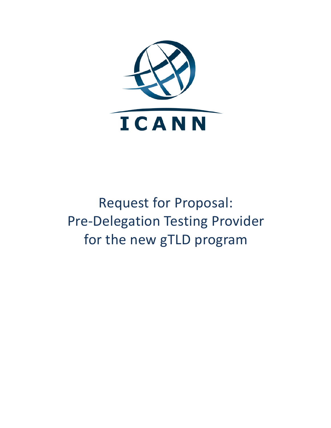

# Request for Proposal: Pre-Delegation Testing Provider for the new gTLD program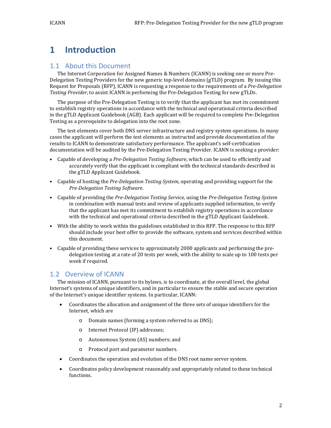# **1 Introduction**

#### 1.1 About this Document

The Internet Corporation for Assigned Names & Numbers (ICANN) is seeking one or more Pre-Delegation Testing Providers for the new generic top-level domains (gTLD) program. By issuing this Request for Proposals (RFP), ICANN is requesting a response to the requirements of a *Pre-Delegation Testing Provider*, to assist ICANN in performing the Pre-Delegation Testing for new gTLDs.

The purpose of the Pre-Delegation Testing is to verify that the applicant has met its commitment to establish registry operations in accordance with the technical and operational criteria described in the gTLD Applicant Guidebook (AGB). Each applicant will be required to complete Pre-Delegation Testing as a prerequisite to delegation into the root zone.

The test elements cover both DNS server infrastructure and registry system operations. In many cases the applicant will perform the test elements as instructed and provide documentation of the results to ICANN to demonstrate satisfactory performance. The applicant's self-certification documentation will be audited by the Pre-Delegation Testing Provider. ICANN is seeking a provider:

- Capable of developing a *Pre-Delegation Testing Software*, which can be used to efficiently and accurately verify that the applicant is compliant with the technical standards described in the gTLD Applicant Guidebook.
- Capable of hosting the *Pre-Delegation Testing System*, operating and providing support for the *Pre-Delegation Testing Software*.
- Capable of providing the *Pre-Delegation Testing Service*, using the *Pre-Delegation Testing System*  in combination with manual tests and review of applicants supplied information, to verify that the applicant has met its commitment to establish registry operations in accordance with the technical and operational criteria described in the gTLD Applicant Guidebook.
- With the ability to work within the guidelines established in this RFP. The response to this RFP should include your best offer to provide the software, system and services described within this document.
- Capable of providing these services to approximately 2000 applicants and performing the predelegation testing at a rate of 20 tests per week, with the ability to scale up to 100 tests per week if required.

#### 1.2 Overview of ICANN

The mission of ICANN, pursuant to its bylaws, is to coordinate, at the overall level, the global Internet's systems of unique identifiers, and in particular to ensure the stable and secure operation of the Internet's unique identifier systems. In particular, ICANN:

- Coordinates the allocation and assignment of the three sets of unique identifiers for the Internet, which are
	- o Domain names (forming a system referred to as DNS);
	- o Internet Protocol (IP) addresses;
	- o Autonomous System (AS) numbers; and
	- o Protocol port and parameter numbers.
- Coordinates the operation and evolution of the DNS root name server system.
- Coordinates policy development reasonably and appropriately related to these technical functions.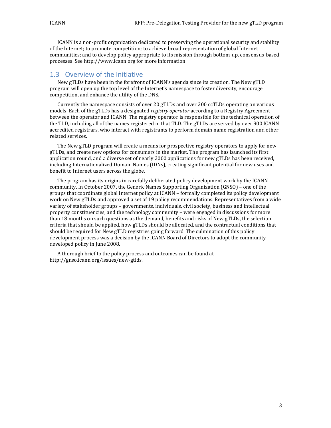ICANN is a non-profit organization dedicated to preserving the operational security and stability of the Internet; to promote competition; to achieve broad representation of global Internet communities; and to develop policy appropriate to its mission through bottom-up, consensus-based processes. See http://www.icann.org for more information.

#### 1.3 Overview of the Initiative

New gTLDs have been in the forefront of ICANN's agenda since its creation. The New gTLD program will open up the top level of the Internet's namespace to foster diversity, encourage competition, and enhance the utility of the DNS.

Currently the namespace consists of over 20 gTLDs and over 200 ccTLDs operating on various models. Each of the gTLDs has a designated *registry operator* according to a Registry Agreement between the operator and ICANN. The registry operator is responsible for the technical operation of the TLD, including all of the names registered in that TLD. The gTLDs are served by over 900 ICANN accredited registrars, who interact with registrants to perform domain name registration and other related services.

The New gTLD program will create a means for prospective registry operators to apply for new gTLDs, and create new options for consumers in the market. The program has launched its first application round, and a diverse set of nearly 2000 applications for new gTLDs has been received, including Internationalized Domain Names (IDNs), creating significant potential for new uses and benefit to Internet users across the globe.

The program has its origins in carefully deliberated policy development work by the ICANN community. In October 2007, the Generic Names Supporting Organization (GNSO) – one of the groups that coordinate global Internet policy at ICANN – formally completed its policy development work on New gTLDs and approved a set of 19 policy recommendations. Representatives from a wide variety of stakeholder groups – governments, individuals, civil society, business and intellectual property constituencies, and the technology community – were engaged in discussions for more than 18 months on such questions as the demand, benefits and risks of New gTLDs, the selection criteria that should be applied, how gTLDs should be allocated, and the contractual conditions that should be required for New gTLD registries going forward. The culmination of this policy development process was a decision by the ICANN Board of Directors to adopt the community – developed policy in June 2008.

A thorough brief to the policy process and outcomes can be found at http://gnso.icann.org/issues/new-gtlds.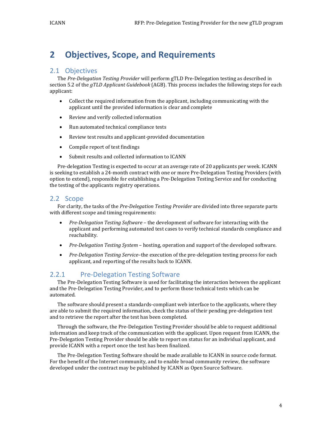# **2 Objectives, Scope, and Requirements**

#### 2.1 Objectives

The *Pre-Delegation Testing Provider* will perform gTLD Pre-Delegation testing as described in section 5.2 of the *gTLD Applicant Guidebook* (AGB). This process includes the following steps for each applicant:

- Collect the required information from the applicant, including communicating with the applicant until the provided information is clear and complete
- Review and verify collected information
- Run automated technical compliance tests
- Review test results and applicant-provided documentation
- Compile report of test findings
- Submit results and collected information to ICANN

Pre-delegation Testing is expected to occur at an average rate of 20 applicants per week. ICANN is seeking to establish a 24-month contract with one or more Pre-Delegation Testing Providers (with option to extend), responsible for establishing a Pre-Delegation Testing Service and for conducting the testing of the applicants registry operations.

#### <span id="page-3-0"></span>2.2 Scope

For clarity, the tasks of the *Pre-Delegation Testing Provider* are divided into three separate parts with different scope and timing requirements:

- *Pre-Delegation Testing Software*  the development of software for interacting with the applicant and performing automated test cases to verify technical standards compliance and reachability.
- *Pre-Delegation Testing System –* hosting, operation and support of the developed software.
- *Pre-Delegation Testing Service*–the execution of the pre-delegation testing process for each applicant, and reporting of the results back to ICANN.

#### 2.2.1 Pre-Delegation Testing Software

The Pre-Delegation Testing Software is used for facilitating the interaction between the applicant and the Pre-Delegation Testing Provider, and to perform those technical tests which can be automated.

The software should present a standards-compliant web interface to the applicants, where they are able to submit the required information, check the status of their pending pre-delegation test and to retrieve the report after the test has been completed.

Through the software, the Pre-Delegation Testing Provider should be able to request additional information and keep track of the communication with the applicant. Upon request from ICANN, the Pre-Delegation Testing Provider should be able to report on status for an individual applicant, and provide ICANN with a report once the test has been finalized.

The Pre-Delegation Testing Software should be made available to ICANN in source code format. For the benefit of the Internet community, and to enable broad community review, the software developed under the contract may be published by ICANN as Open Source Software.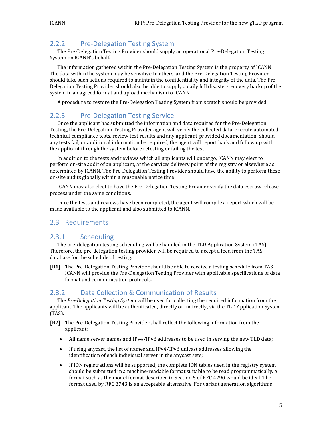## 2.2.2 Pre-Delegation Testing System

The Pre-Delegation Testing Provider should supply an operational Pre-Delegation Testing System on ICANN's behalf.

The information gathered within the Pre-Delegation Testing System is the property of ICANN. The data within the system may be sensitive to others, and the Pre-Delegation Testing Provider should take such actions required to maintain the confidentiality and integrity of the data. The Pre-Delegation Testing Provider should also be able to supply a daily full disaster-recovery backup of the system in an agreed format and upload mechanism to ICANN.

A procedure to restore the Pre-Delegation Testing System from scratch should be provided.

#### 2.2.3 Pre-Delegation Testing Service

Once the applicant has submitted the information and data required for the Pre-Delegation Testing, the Pre-Delegation Testing Provider agent will verify the collected data, execute automated technical compliance tests, review test results and any applicant-provided documentation. Should any tests fail, or additional information be required, the agent will report back and follow up with the applicant through the system before retesting or failing the test.

In addition to the tests and reviews which all applicants will undergo, ICANN may elect to perform on-site audit of an applicant, at the services delivery point of the registry or elsewhere as determined by ICANN. The Pre-Delegation Testing Provider should have the ability to perform these on-site audits globally within a reasonable notice time.

ICANN may also elect to have the Pre-Delegation Testing Provider verify the data escrow release process under the same conditions.

Once the tests and reviews have been completed, the agent will compile a report which will be made available to the applicant and also submitted to ICANN.

#### 2.3 Requirements

#### 2.3.1 Scheduling

The pre-delegation testing scheduling will be handled in the TLD Application System (TAS). Therefore, the pre-delegation testing provider will be required to accept a feed from the TAS database for the schedule of testing.

**[R1]** The Pre-Delegation Testing Provider should be able to receive a testing schedule from TAS. ICANN will provide the Pre-Delegation Testing Provider with applicable specifications of data format and communication protocols.

#### 2.3.2 Data Collection & Communication of Results

The *Pre-Delegation Testing System* will be used for collecting the required information from the applicant. The applicants will be authenticated, directly or indirectly, via the TLD Application System (TAS).

- **[R2]** The Pre-Delegation Testing Provider shall collect the following information from the applicant:
	- All name server names and IPv4/IPv6 addresses to be used in serving the new TLD data;
	- If using anycast, the list of names and IPv4/IPv6 unicast addresses allowing the identification of each individual server in the anycast sets;
	- If IDN registrations will be supported, the complete IDN tables used in the registry system should be submitted in a machine-readable format suitable to be read programmatically. A format such as the model format described in Section 5 of RFC 4290 would be ideal. The format used by RFC 3743 is an acceptable alternative. For variant generation algorithms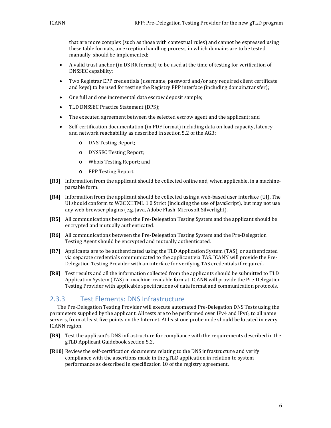that are more complex (such as those with contextual rules) and cannot be expressed using these table formats, an exception handling process, in which domains are to be tested manually, should be implemented;

- A valid trust anchor (in DS RR format) to be used at the time of testing for verification of DNSSEC capability;
- Two Registrar EPP credentials (username, password and/or any required client certificate and keys) to be used for testing the Registry EPP interface (including domain.transfer);
- One full and one incremental data escrow deposit sample;
- TLD DNSSEC Practice Statement (DPS);
- The executed agreement between the selected escrow agent and the applicant; and
- Self-certification documentation (in PDF format) including data on load capacity, latency and network reachability as described in section 5.2 of the AGB:
	- o DNS Testing Report;
	- o DNSSEC Testing Report;
	- o Whois Testing Report; and
	- o EPP Testing Report.
- **[R3]** Information from the applicant should be collected online and, when applicable, in a machineparsable form.
- **[R4]** Information from the applicant should be collected using a web-based user interface (UI). The UI should conform to W3C XHTML 1.0 Strict (including the use of JavaScript), but may not use any web browser plugins (e.g. Java, Adobe Flash, Microsoft Silverlight).
- **[R5]** All communications between the Pre-Delegation Testing System and the applicant should be encrypted and mutually authenticated.
- **[R6]** All communications between the Pre-Delegation Testing System and the Pre-Delegation Testing Agent should be encrypted and mutually authenticated.
- **[R7]** Applicants are to be authenticated using the TLD Application System (TAS), or authenticated via separate credentials communicated to the applicant via TAS. ICANN will provide the Pre-Delegation Testing Provider with an interface for verifying TAS credentials if required.
- **[R8]** Test results and all the information collected from the applicants should be submitted to TLD Application System (TAS) in machine-readable format. ICANN will provide the Pre-Delegation Testing Provider with applicable specifications of data format and communication protocols.

#### 2.3.3 Test Elements: DNS Infrastructure

The Pre-Delegation Testing Provider will execute automated Pre-Delegation DNS Tests using the parameters supplied by the applicant. All tests are to be performed over IPv4 and IPv6, to all name servers, from at least five points on the Internet. At least one probe node should be located in every ICANN region.

- **[R9]** Test the applicant's DNS infrastructure for compliance with the requirements described in the gTLD Applicant Guidebook section 5.2.
- **[R10]** Review the self-certification documents relating to the DNS infrastructure and verify compliance with the assertions made in the gTLD application in relation to system performance as described in specification 10 of the registry agreement.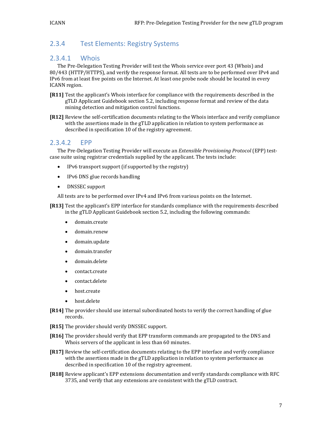## 2.3.4 Test Elements: Registry Systems

#### 2.3.4.1 Whois

The Pre-Delegation Testing Provider will test the Whois service over port 43 (Whois) and 80/443 (HTTP/HTTPS), and verify the response format. All tests are to be performed over IPv4 and IPv6 from at least five points on the Internet. At least one probe node should be located in every ICANN region.

**[R11]** Test the applicant's Whois interface for compliance with the requirements described in the gTLD Applicant Guidebook section 5.2, including response format and review of the data mining detection and mitigation control functions.

**[R12]** Review the self-certification documents relating to the Whois interface and verify compliance with the assertions made in the gTLD application in relation to system performance as described in specification 10 of the registry agreement.

#### 2.3.4.2 EPP

The Pre-Delegation Testing Provider will execute an *Extensible Provisioning Protocol* (EPP) testcase suite using registrar credentials supplied by the applicant. The tests include:

- IPv6 transport support (if supported by the registry)
- IPv6 DNS glue records handling
- DNSSEC support

All tests are to be performed over IPv4 and IPv6 from various points on the Internet.

**[R13]** Test the applicant's EPP interface for standards compliance with the requirements described in the gTLD Applicant Guidebook section 5.2, including the following commands:

- domain.create
- domain.renew
- domain.update
- domain.transfer
- domain.delete
- contact.create
- contact.delete
- host.create
- host.delete
- **[R14]** The provider should use internal subordinated hosts to verify the correct handling of glue records.
- **[R15]** The provider should verify DNSSEC support.
- **[R16]** The provider should verify that EPP transform commands are propagated to the DNS and Whois servers of the applicant in less than 60 minutes.
- **[R17]** Review the self-certification documents relating to the EPP interface and verify compliance with the assertions made in the gTLD application in relation to system performance as described in specification 10 of the registry agreement.
- **[R18]** Review applicant's EPP extensions documentation and verify standards compliance with RFC 3735, and verify that any extensions are consistent with the gTLD contract.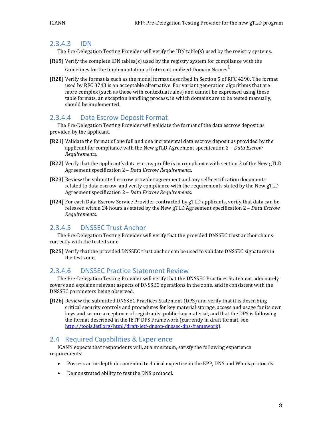#### 2.3.4.3 IDN

The Pre-Delegation Testing Provider will verify the IDN table(s) used by the registry systems.

- **[R19]** Verify the complete IDN tables(s) used by the registry system for compliance with the Guidelines for the Implementation of Internationalized Domain Names $^{\mathrm{1}}$ .
- **[R20]** Verify the format is such as the model format described in Section 5 of RFC 4290. The format used by RFC 3743 is an acceptable alternative. For variant generation algorithms that are more complex (such as those with contextual rules) and cannot be expressed using these table formats, an exception handling process, in which domains are to be tested manually, should be implemented.

### 2.3.4.4 Data Escrow Deposit Format

The Pre-Delegation Testing Provider will validate the format of the data escrow deposit as provided by the applicant.

- **[R21]** Validate the format of one full and one incremental data escrow deposit as provided by the applicant for compliance with the New gTLD Agreement specification 2 – *Data Escrow Requirements*.
- **[R22]** Verify that the applicant's data escrow profile is in compliance with section 3 of the New gTLD Agreement specification 2 – *Data Escrow Requirements*.
- **[R23]** Review the submitted escrow provider agreement and any self-certification documents related to data escrow, and verify compliance with the requirements stated by the New gTLD Agreement specification 2 – *Data Escrow Requirements*.
- **[R24]** For each Data Escrow Service Provider contracted by gTLD applicants, verify that data can be released within 24 hours as stated by the New gTLD Agreement specification 2 – *Data Escrow Requirements*.

#### 2.3.4.5 DNSSEC Trust Anchor

The Pre-Delegation Testing Provider will verify that the provided DNSSEC trust anchor chains correctly with the tested zone.

**[R25]** Verify that the provided DNSSEC trust anchor can be used to validate DNSSEC signatures in the test zone.

#### 2.3.4.6 DNSSEC Practice Statement Review

The Pre-Delegation Testing Provider will verify that the DNSSEC Practices Statement adequately covers and explains relevant aspects of DNSSEC operations in the zone, and is consistent with the DNSSEC parameters being observed.

**[R26]** Review the submitted DNSSEC Practices Statement (DPS) and verify that it is describing critical security controls and procedures for key material storage, access and usage for its own keys and secure acceptance of registrants' public-key material, and that the DPS is following the format described in the IETF DPS Framework (currently in draft format, see [http://tools.ietf.org/html/draft-ietf-dnsop-dnssec-dps-framework\)](http://tools.ietf.org/html/draft-ietf-dnsop-dnssec-dps-framework).

#### 2.4 Required Capabilities & Experience

ICANN expects that respondents will, at a minimum, satisfy the following experience requirements:

- Possess an in-depth documented technical expertise in the EPP, DNS and Whois protocols.
- Demonstrated ability to test the DNS protocol.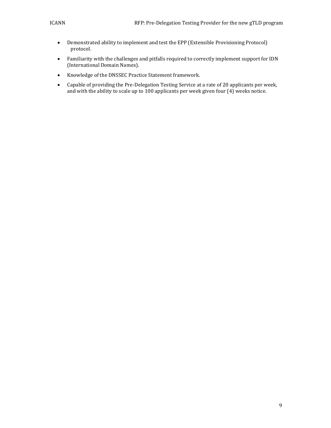- Demonstrated ability to implement and test the EPP (Extensible Provisioning Protocol) protocol.
- Familiarity with the challenges and pitfalls required to correctly implement support for IDN (International Domain Names).
- Knowledge of the DNSSEC Practice Statement framework.
- Capable of providing the Pre-Delegation Testing Service at a rate of 20 applicants per week, and with the ability to scale up to 100 applicants per week given four (4) weeks notice.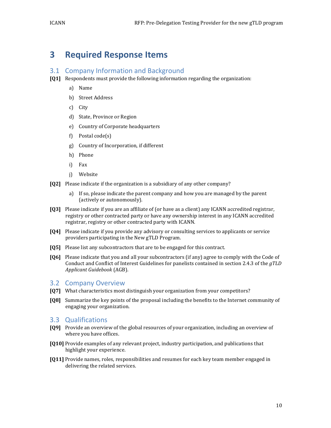# **3 Required Response Items**

#### 3.1 Company Information and Background

- **[Q1]** Respondents must provide the following information regarding the organization:
	- a) Name
	- b) Street Address
	- c) City
	- d) State, Province or Region
	- e) Country of Corporate headquarters
	- f) Postal code(s)
	- g) Country of Incorporation, if different
	- h) Phone
	- i) Fax
	- j) Website
- **[Q2]** Please indicate if the organization is a subsidiary of any other company?
	- a) If so, please indicate the parent company and how you are managed by the parent (actively or autonomously).
- **[Q3]** Please indicate if you are an affiliate of (or have as a client) any ICANN accredited registrar, registry or other contracted party or have any ownership interest in any ICANN accredited registrar, registry or other contracted party with ICANN.
- **[Q4]** Please indicate if you provide any advisory or consulting services to applicants or service providers participating in the New gTLD Program.
- **[Q5]** Please list any subcontractors that are to be engaged for this contract.
- **[Q6]** Please indicate that you and all your subcontractors (if any) agree to comply with the Code of Conduct and Conflict of Interest Guidelines for panelists contained in section 2.4.3 of the *gTLD Applicant Guidebook* (AGB).

#### 3.2 Company Overview

- **[Q7]** What characteristics most distinguish your organization from your competitors?
- **[Q8]** Summarize the key points of the proposal including the benefits to the Internet community of engaging your organization.

#### 3.3 Qualifications

- **[Q9]** Provide an overview of the global resources of your organization, including an overview of where you have offices.
- **[Q10]** Provide examples of any relevant project, industry participation, and publications that highlight your experience.
- **[Q11]** Provide names, roles, responsibilities and resumes for each key team member engaged in delivering the related services.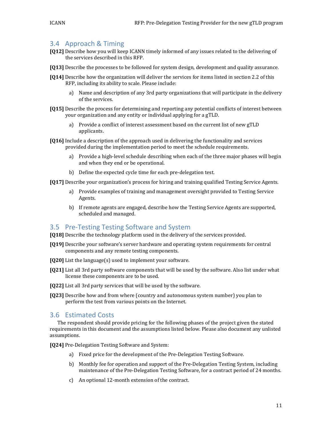#### 3.4 Approach & Timing

- **[Q12]** Describe how you will keep ICANN timely informed of any issues related to the delivering of the services described in this RFP.
- **[Q13]** Describe the processes to be followed for system design, development and quality assurance.
- **[Q14]** Describe how the organization will deliver the services for items listed in section [2.2](#page-3-0) of this RFP, including its ability to scale. Please include:
	- a) Name and description of any 3rd party organizations that will participate in the delivery of the services.
- **[Q15]** Describe the process for determining and reporting any potential conflicts of interest between your organization and any entity or individual applying for a gTLD.
	- a) Provide a conflict of interest assessment based on the current list of new gTLD applicants.
- **[Q16]** Include a description of the approach used in delivering the functionality and services provided during the implementation period to meet the schedule requirements.
	- a) Provide a high-level schedule describing when each of the three major phases will begin and when they end or be operational.
	- b) Define the expected cycle time for each pre-delegation test.
- **[Q17]** Describe your organization's process for hiring and training qualified Testing Service Agents.
	- a) Provide examples of training and management oversight provided to Testing Service Agents.
	- b) If remote agents are engaged, describe how the Testing Service Agents are supported, scheduled and managed.

#### 3.5 Pre-Testing Testing Software and System

- **[Q18]** Describe the technology platform used in the delivery of the services provided.
- **[Q19]** Describe your software's server hardware and operating system requirements for central components and any remote testing components.
- **[Q20]** List the language(s) used to implement your software.
- **[Q21]** List all 3rd party software components that will be used by the software. Also list under what license these components are to be used.
- **[Q22]** List all 3rd party services that will be used by the software.
- **[Q23]** Describe how and from where (country and autonomous system number) you plan to perform the test from various points on the Internet.

#### 3.6 Estimated Costs

The respondent should provide pricing for the following phases of the project given the stated requirements in this document and the assumptions listed below. Please also document any unlisted assumptions.

**[Q24]** Pre-Delegation Testing Software and System:

- a) Fixed price for the development of the Pre-Delegation Testing Software.
- b) Monthly fee for operation and support of the Pre-Delegation Testing System, including maintenance of the Pre-Delegation Testing Software, for a contract period of 24 months.
- c) An optional 12-month extension of the contract.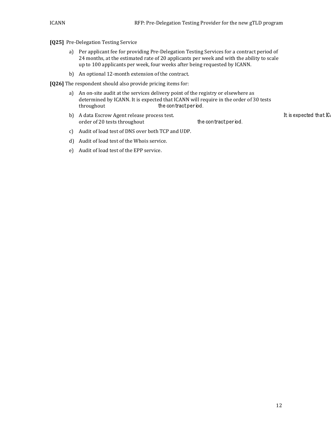#### **[Q25]** Pre-Delegation Testing Service

- a) Per applicant fee for providing Pre-Delegation Testing Services for a contract period of 24 months, at the estimated rate of 20 applicants per week and with the ability to scale up to 100 applicants per week, four weeks after being requested by ICANN.
- b) An optional 12-month extension of the contract.

**[Q26]** The respondent should also provide pricing items for:

- a) An on-site audit at the services delivery point of the registry or elsewhere as determined by ICANN. It is expected that ICANN will require in the order of 30 tests the contract period.
- b) A data Escrow Agent release process test.<br>order of 20 tests throughout the contract period. order of 20 tests throughout
- c) Audit of load test of DNS over both TCP and UDP.
- d) Audit of load test of the Whois service.
- e) Audit of load test of the EPP service.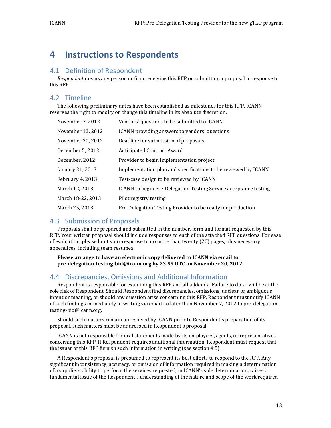# **4 Instructions to Respondents**

#### 4.1 Definition of Respondent

*Respondent* means any person or firm receiving this RFP or submitting a proposal in response to this RFP.

## 4.2 Timeline

The following preliminary dates have been established as milestones for this RFP. ICANN reserves the right to modify or change this timeline in its absolute discretion.

| November 7, 2012  | Vendors' questions to be submitted to ICANN                      |
|-------------------|------------------------------------------------------------------|
| November 12, 2012 | <b>ICANN</b> providing answers to vendors' questions             |
| November 20, 2012 | Deadline for submission of proposals                             |
| December 5, 2012  | Anticipated Contract Award                                       |
| December, 2012    | Provider to begin implementation project                         |
| January 21, 2013  | Implementation plan and specifications to be reviewed by ICANN   |
| February 4, 2013  | Test-case design to be reviewed by ICANN                         |
| March 12, 2013    | ICANN to begin Pre-Delegation Testing Service acceptance testing |
| March 18-22, 2013 | Pilot registry testing                                           |
| March 25, 2013    | Pre-Delegation Testing Provider to be ready for production       |

#### 4.3 Submission of Proposals

Proposals shall be prepared and submitted in the number, form and format requested by this RFP. Your written proposal should include responses to each of the attached RFP questions. For ease of evaluation, please limit your response to no more than twenty (20) pages, plus necessary appendices, including team resumes.

**Please arrange to have an electronic copy delivered to ICANN via email to pre-delegation-testing-bid@icann.org by 23.59 UTC on November 20, 2012**.

#### 4.4 Discrepancies, Omissions and Additional Information

Respondent is responsible for examining this RFP and all addenda. Failure to do so will be at the sole risk of Respondent. Should Respondent find discrepancies, omissions, unclear or ambiguous intent or meaning, or should any question arise concerning this RFP, Respondent must notify ICANN of such findings immediately in writing via email no later than November 7, 2012 to pre-delegationtesting-bid@icann.org.

Should such matters remain unresolved by ICANN prior to Respondent's preparation of its proposal, such matters must be addressed in Respondent's proposal.

ICANN is not responsible for oral statements made by its employees, agents, or representatives concerning this RFP. If Respondent requires additional information, Respondent must request that the issuer of this RFP furnish such information in writing (see section [4.5\)](#page-13-0).

A Respondent's proposal is presumed to represent its best efforts to respond to the RFP. Any significant inconsistency, accuracy, or omission of information required in making a determination of a suppliers ability to perform the services requested, in ICANN's sole determination, raises a fundamental issue of the Respondent's understanding of the nature and scope of the work required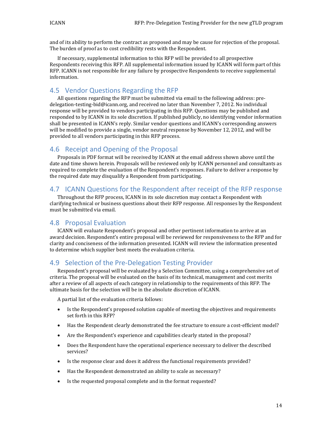and of its ability to perform the contract as proposed and may be cause for rejection of the proposal. The burden of proof as to cost credibility rests with the Respondent.

If necessary, supplemental information to this RFP will be provided to all prospective Respondents receiving this RFP. All supplemental information issued by ICANN will form part of this RFP. ICANN is not responsible for any failure by prospective Respondents to receive supplemental information.

#### <span id="page-13-0"></span>4.5 Vendor Questions Regarding the RFP

All questions regarding the RFP must be submitted via email to the following address: predelegation-testing-bid@icann.org, and received no later than November 7, 2012. No individual response will be provided to vendors participating in this RFP. Questions may be published and responded to by ICANN in its sole discretion. If published publicly, no identifying vendor information shall be presented in ICANN's reply. Similar vendor questions and ICANN's corresponding answers will be modified to provide a single, vendor neutral response by November 12, 2012, and will be provided to all vendors participating in this RFP process.

#### 4.6 Receipt and Opening of the Proposal

Proposals in PDF format will be received by ICANN at the email address shown above until the date and time shown herein. Proposals will be reviewed only by ICANN personnel and consultants as required to complete the evaluation of the Respondent's responses. Failure to deliver a response by the required date may disqualify a Respondent from participating.

#### 4.7 ICANN Questions for the Respondent after receipt of the RFP response

Throughout the RFP process, ICANN in its sole discretion may contact a Respondent with clarifying technical or business questions about their RFP response. All responses by the Respondent must be submitted via email.

#### 4.8 Proposal Evaluation

ICANN will evaluate Respondent's proposal and other pertinent information to arrive at an award decision. Respondent's entire proposal will be reviewed for responsiveness to the RFP and for clarity and conciseness of the information presented. ICANN will review the information presented to determine which supplier best meets the evaluation criteria.

#### 4.9 Selection of the Pre-Delegation Testing Provider

Respondent's proposal will be evaluated by a Selection Committee, using a comprehensive set of criteria. The proposal will be evaluated on the basis of its technical, management and cost merits after a review of all aspects of each category in relationship to the requirements of this RFP. The ultimate basis for the selection will be in the absolute discretion of ICANN.

A partial list of the evaluation criteria follows:

- Is the Respondent's proposed solution capable of meeting the objectives and requirements set forth in this RFP?
- Has the Respondent clearly demonstrated the fee structure to ensure a cost-efficient model?
- Are the Respondent's experience and capabilities clearly stated in the proposal?
- Does the Respondent have the operational experience necessary to deliver the described services?
- Is the response clear and does it address the functional requirements provided?
- Has the Respondent demonstrated an ability to scale as necessary?
- Is the requested proposal complete and in the format requested?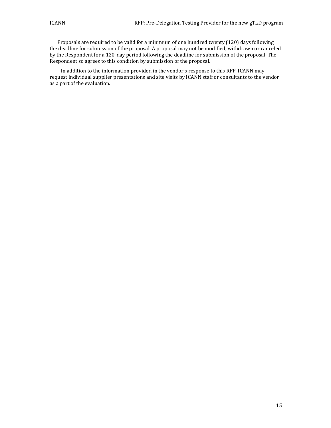Proposals are required to be valid for a minimum of one hundred twenty (120) days following the deadline for submission of the proposal. A proposal may not be modified, withdrawn or canceled by the Respondent for a 120-day period following the deadline for submission of the proposal. The Respondent so agrees to this condition by submission of the proposal.

In addition to the information provided in the vendor's response to this RFP, ICANN may request individual supplier presentations and site visits by ICANN staff or consultants to the vendor as a part of the evaluation.